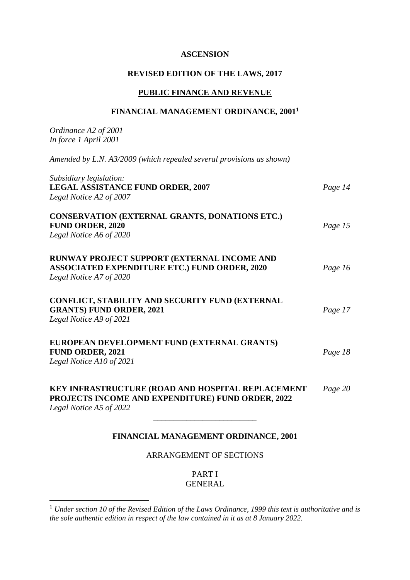### **ASCENSION**

### **REVISED EDITION OF THE LAWS, 2017**

### **PUBLIC FINANCE AND REVENUE**

#### **FINANCIAL MANAGEMENT ORDINANCE, 2001<sup>1</sup>**

*Ordinance A2 of 2001 In force 1 April 2001 Amended by L.N. A3/2009 (which repealed several provisions as shown) Subsidiary legislation:* **LEGAL ASSISTANCE FUND ORDER, 2007** *Page 14 Legal Notice A2 of 2007* **CONSERVATION (EXTERNAL GRANTS, DONATIONS ETC.) FUND ORDER, 2020** *Page 15 Legal Notice A6 of 2020* **RUNWAY PROJECT SUPPORT (EXTERNAL INCOME AND ASSOCIATED EXPENDITURE ETC.) FUND ORDER, 2020** *Page 16 Legal Notice A7 of 2020* **CONFLICT, STABILITY AND SECURITY FUND (EXTERNAL GRANTS) FUND ORDER, 2021** *Page 17 Legal Notice A9 of 2021* **EUROPEAN DEVELOPMENT FUND (EXTERNAL GRANTS) FUND ORDER, 2021** *Page 18 Legal Notice A10 of 2021* **KEY INFRASTRUCTURE (ROAD AND HOSPITAL REPLACEMENT** *Page 20* **PROJECTS INCOME AND EXPENDITURE) FUND ORDER, 2022** *Legal Notice A5 of 2022* \_\_\_\_\_\_\_\_\_\_\_\_\_\_\_\_\_\_\_\_\_\_\_\_\_

# **FINANCIAL MANAGEMENT ORDINANCE, 2001**

#### ARRANGEMENT OF SECTIONS

PART I GENERAL

1

<sup>1</sup> *Under section 10 of the Revised Edition of the Laws Ordinance, 1999 this text is authoritative and is the sole authentic edition in respect of the law contained in it as at 8 January 2022.*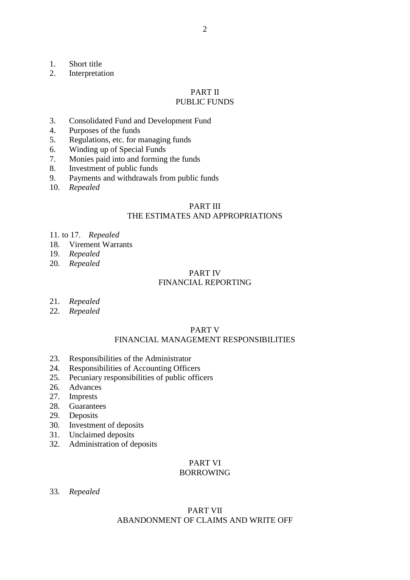- 1. Short title<br>2. Interpretat
- **Interpretation**

# PART II

# PUBLIC FUNDS

- 3. Consolidated Fund and Development Fund
- 4. Purposes of the funds
- 5. Regulations, etc. for managing funds
- 6. Winding up of Special Funds
- 7. Monies paid into and forming the funds
- 8. Investment of public funds
- 9. Payments and withdrawals from public funds
- 10. *Repealed*

### PART III THE ESTIMATES AND APPROPRIATIONS

- 11. to 17. *Repealed*
- 18. Virement Warrants
- 19. *Repealed*
- 20. *Repealed*

#### PART IV FINANCIAL REPORTING

- 21. *Repealed*
- 22. *Repealed*

### PART V FINANCIAL MANAGEMENT RESPONSIBILITIES

- 23. Responsibilities of the Administrator
- 24. Responsibilities of Accounting Officers
- 25. Pecuniary responsibilities of public officers
- 26. Advances
- 27. Imprests
- 28. Guarantees
- 29. Deposits
- 30. Investment of deposits
- 31. Unclaimed deposits
- 32. Administration of deposits

# PART VI

# BORROWING

33. *Repealed*

# PART VII ABANDONMENT OF CLAIMS AND WRITE OFF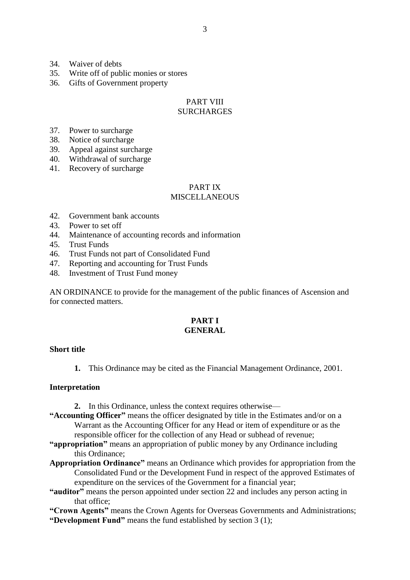- 34. Waiver of debts
- 35. Write off of public monies or stores
- 36. Gifts of Government property

#### PART VIII **SURCHARGES**

- 37. Power to surcharge
- 38. Notice of surcharge
- 39. Appeal against surcharge
- 40. Withdrawal of surcharge
- 41. Recovery of surcharge

# PART IX

# **MISCELLANEOUS**

- 42. Government bank accounts
- 43. Power to set off
- 44. Maintenance of accounting records and information
- 45. Trust Funds
- 46. Trust Funds not part of Consolidated Fund
- 47. Reporting and accounting for Trust Funds
- 48. Investment of Trust Fund money

AN ORDINANCE to provide for the management of the public finances of Ascension and for connected matters.

#### **PART I GENERAL**

#### **Short title**

**1.** This Ordinance may be cited as the Financial Management Ordinance, 2001.

#### **Interpretation**

- **2.** In this Ordinance, unless the context requires otherwise—
- **"Accounting Officer"** means the officer designated by title in the Estimates and/or on a Warrant as the Accounting Officer for any Head or item of expenditure or as the responsible officer for the collection of any Head or subhead of revenue;
- **"appropriation"** means an appropriation of public money by any Ordinance including this Ordinance;
- **Appropriation Ordinance"** means an Ordinance which provides for appropriation from the Consolidated Fund or the Development Fund in respect of the approved Estimates of expenditure on the services of the Government for a financial year;
- **"auditor"** means the person appointed under section 22 and includes any person acting in that office;

**"Crown Agents"** means the Crown Agents for Overseas Governments and Administrations; **"Development Fund"** means the fund established by section 3 (1);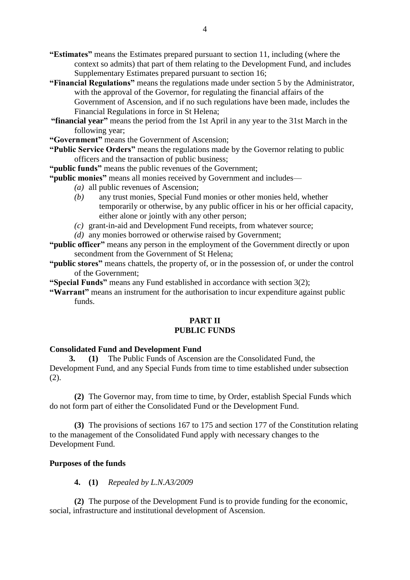- **"Estimates"** means the Estimates prepared pursuant to section 11, including (where the context so admits) that part of them relating to the Development Fund, and includes Supplementary Estimates prepared pursuant to section 16:
- **"Financial Regulations"** means the regulations made under section 5 by the Administrator, with the approval of the Governor, for regulating the financial affairs of the Government of Ascension, and if no such regulations have been made, includes the Financial Regulations in force in St Helena;
- **"financial year"** means the period from the 1st April in any year to the 31st March in the following year;

**"Government"** means the Government of Ascension;

**"Public Service Orders"** means the regulations made by the Governor relating to public officers and the transaction of public business;

**"public funds"** means the public revenues of the Government;

**"public monies"** means all monies received by Government and includes—

- *(a)* all public revenues of Ascension;
- *(b)* any trust monies, Special Fund monies or other monies held, whether temporarily or otherwise, by any public officer in his or her official capacity, either alone or jointly with any other person;
- *(c)* grant-in-aid and Development Fund receipts, from whatever source;
- *(d)* any monies borrowed or otherwise raised by Government;

**"public officer"** means any person in the employment of the Government directly or upon secondment from the Government of St Helena;

**"public stores"** means chattels, the property of, or in the possession of, or under the control of the Government;

**"Special Funds"** means any Fund established in accordance with section 3(2);

**"Warrant"** means an instrument for the authorisation to incur expenditure against public funds.

# **PART II PUBLIC FUNDS**

#### **Consolidated Fund and Development Fund**

**3. (1)** The Public Funds of Ascension are the Consolidated Fund, the Development Fund, and any Special Funds from time to time established under subsection (2).

**(2)** The Governor may, from time to time, by Order, establish Special Funds which do not form part of either the Consolidated Fund or the Development Fund.

**(3)** The provisions of sections 167 to 175 and section 177 of the Constitution relating to the management of the Consolidated Fund apply with necessary changes to the Development Fund.

# **Purposes of the funds**

### **4. (1)** *Repealed by L.N.A3/2009*

**(2)** The purpose of the Development Fund is to provide funding for the economic, social, infrastructure and institutional development of Ascension.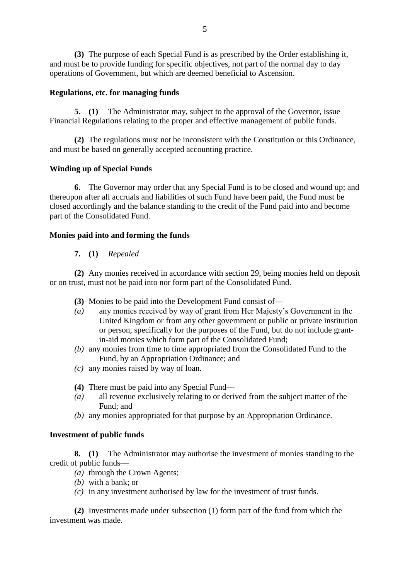**(3)** The purpose of each Special Fund is as prescribed by the Order establishing it, and must be to provide funding for specific objectives, not part of the normal day to day operations of Government, but which are deemed beneficial to Ascension.

# **Regulations, etc. for managing funds**

**5. (1)** The Administrator may, subject to the approval of the Governor, issue Financial Regulations relating to the proper and effective management of public funds.

**(2)** The regulations must not be inconsistent with the Constitution or this Ordinance, and must be based on generally accepted accounting practice.

# **Winding up of Special Funds**

**6.** The Governor may order that any Special Fund is to be closed and wound up; and thereupon after all accruals and liabilities of such Fund have been paid, the Fund must be closed accordingly and the balance standing to the credit of the Fund paid into and become part of the Consolidated Fund.

# **Monies paid into and forming the funds**

# **7. (1)** *Repealed*

**(2)** Any monies received in accordance with section 29, being monies held on deposit or on trust, must not be paid into nor form part of the Consolidated Fund.

- **(3)** Monies to be paid into the Development Fund consist of—
- *(a)* any monies received by way of grant from Her Majesty's Government in the United Kingdom or from any other government or public or private institution or person, specifically for the purposes of the Fund, but do not include grantin-aid monies which form part of the Consolidated Fund;
- *(b)* any monies from time to time appropriated from the Consolidated Fund to the Fund, by an Appropriation Ordinance; and
- *(c)* any monies raised by way of loan.
- **(4)** There must be paid into any Special Fund—
- *(a)* all revenue exclusively relating to or derived from the subject matter of the Fund; and
- *(b)* any monies appropriated for that purpose by an Appropriation Ordinance.

## **Investment of public funds**

**8. (1)** The Administrator may authorise the investment of monies standing to the credit of public funds—

- *(a)* through the Crown Agents;
- *(b)* with a bank; or
- *(c)* in any investment authorised by law for the investment of trust funds.

**(2)** Investments made under subsection (1) form part of the fund from which the investment was made.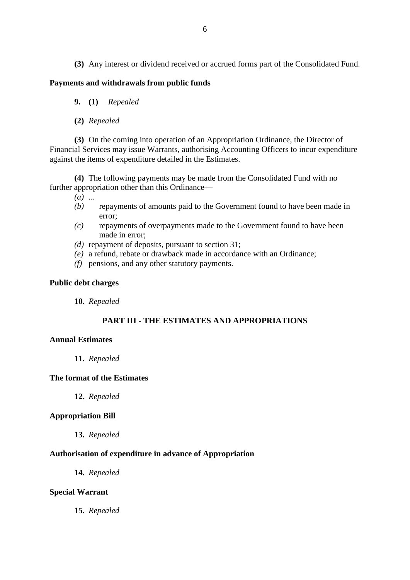**(3)** Any interest or dividend received or accrued forms part of the Consolidated Fund.

#### **Payments and withdrawals from public funds**

- **9. (1)** *Repealed*
- **(2)** *Repealed*

**(3)** On the coming into operation of an Appropriation Ordinance, the Director of Financial Services may issue Warrants, authorising Accounting Officers to incur expenditure against the items of expenditure detailed in the Estimates.

**(4)** The following payments may be made from the Consolidated Fund with no further appropriation other than this Ordinance—

- *(a)* ...
- *(b)* repayments of amounts paid to the Government found to have been made in error;
- *(c)* repayments of overpayments made to the Government found to have been made in error;
- *(d)* repayment of deposits, pursuant to section 31;
- *(e)* a refund, rebate or drawback made in accordance with an Ordinance;
- *(f)* pensions, and any other statutory payments.

### **Public debt charges**

**10.** *Repealed*

# **PART III - THE ESTIMATES AND APPROPRIATIONS**

### **Annual Estimates**

**11.** *Repealed*

### **The format of the Estimates**

**12.** *Repealed*

#### **Appropriation Bill**

**13.** *Repealed*

#### **Authorisation of expenditure in advance of Appropriation**

**14.** *Repealed*

### **Special Warrant**

**15.** *Repealed*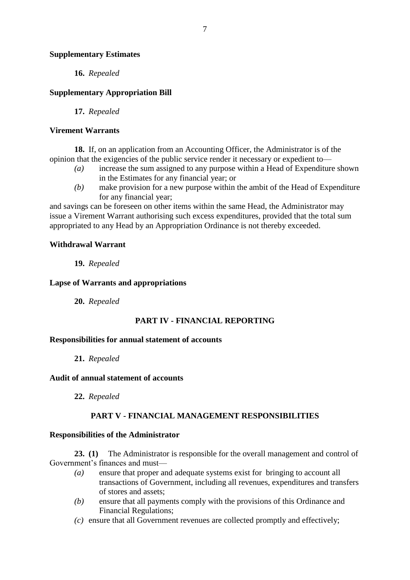### **Supplementary Estimates**

**16.** *Repealed*

## **Supplementary Appropriation Bill**

**17.** *Repealed*

### **Virement Warrants**

**18.** If, on an application from an Accounting Officer, the Administrator is of the opinion that the exigencies of the public service render it necessary or expedient to—

- *(a)* increase the sum assigned to any purpose within a Head of Expenditure shown in the Estimates for any financial year; or
- *(b)* make provision for a new purpose within the ambit of the Head of Expenditure for any financial year;

and savings can be foreseen on other items within the same Head, the Administrator may issue a Virement Warrant authorising such excess expenditures, provided that the total sum appropriated to any Head by an Appropriation Ordinance is not thereby exceeded.

### **Withdrawal Warrant**

**19.** *Repealed*

### **Lapse of Warrants and appropriations**

**20.** *Repealed*

## **PART IV - FINANCIAL REPORTING**

#### **Responsibilities for annual statement of accounts**

**21.** *Repealed*

#### **Audit of annual statement of accounts**

**22.** *Repealed*

## **PART V - FINANCIAL MANAGEMENT RESPONSIBILITIES**

#### **Responsibilities of the Administrator**

**23. (1)** The Administrator is responsible for the overall management and control of Government's finances and must—

- *(a)* ensure that proper and adequate systems exist for bringing to account all transactions of Government, including all revenues, expenditures and transfers of stores and assets;
- *(b)* ensure that all payments comply with the provisions of this Ordinance and Financial Regulations;
- *(c)* ensure that all Government revenues are collected promptly and effectively;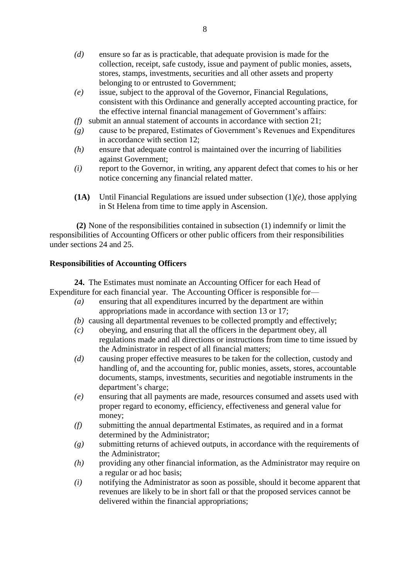- *(d)* ensure so far as is practicable, that adequate provision is made for the collection, receipt, safe custody, issue and payment of public monies, assets, stores, stamps, investments, securities and all other assets and property belonging to or entrusted to Government;
- *(e)* issue, subject to the approval of the Governor, Financial Regulations, consistent with this Ordinance and generally accepted accounting practice, for the effective internal financial management of Government's affairs:
- *(f)* submit an annual statement of accounts in accordance with section 21;
- *(g)* cause to be prepared, Estimates of Government's Revenues and Expenditures in accordance with section 12;
- *(h)* ensure that adequate control is maintained over the incurring of liabilities against Government;
- *(i)* report to the Governor, in writing, any apparent defect that comes to his or her notice concerning any financial related matter.
- **(1A)** Until Financial Regulations are issued under subsection (1)*(e)*, those applying in St Helena from time to time apply in Ascension.

**(2)** None of the responsibilities contained in subsection (1) indemnify or limit the responsibilities of Accounting Officers or other public officers from their responsibilities under sections 24 and 25.

# **Responsibilities of Accounting Officers**

**24.** The Estimates must nominate an Accounting Officer for each Head of Expenditure for each financial year. The Accounting Officer is responsible for—

- *(a)* ensuring that all expenditures incurred by the department are within appropriations made in accordance with section 13 or 17;
- *(b)* causing all departmental revenues to be collected promptly and effectively;
- *(c)* obeying, and ensuring that all the officers in the department obey, all regulations made and all directions or instructions from time to time issued by the Administrator in respect of all financial matters;
- *(d)* causing proper effective measures to be taken for the collection, custody and handling of, and the accounting for, public monies, assets, stores, accountable documents, stamps, investments, securities and negotiable instruments in the department's charge;
- *(e)* ensuring that all payments are made, resources consumed and assets used with proper regard to economy, efficiency, effectiveness and general value for money;
- *(f)* submitting the annual departmental Estimates, as required and in a format determined by the Administrator;
- *(g)* submitting returns of achieved outputs, in accordance with the requirements of the Administrator;
- *(h)* providing any other financial information, as the Administrator may require on a regular or ad hoc basis;
- *(i)* notifying the Administrator as soon as possible, should it become apparent that revenues are likely to be in short fall or that the proposed services cannot be delivered within the financial appropriations;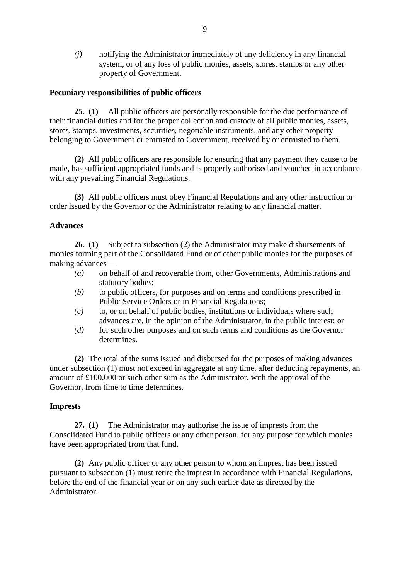*(j)* notifying the Administrator immediately of any deficiency in any financial system, or of any loss of public monies, assets, stores, stamps or any other property of Government.

### **Pecuniary responsibilities of public officers**

**25. (1)** All public officers are personally responsible for the due performance of their financial duties and for the proper collection and custody of all public monies, assets, stores, stamps, investments, securities, negotiable instruments, and any other property belonging to Government or entrusted to Government, received by or entrusted to them.

**(2)** All public officers are responsible for ensuring that any payment they cause to be made, has sufficient appropriated funds and is properly authorised and vouched in accordance with any prevailing Financial Regulations.

**(3)** All public officers must obey Financial Regulations and any other instruction or order issued by the Governor or the Administrator relating to any financial matter.

## **Advances**

**26. (1)** Subject to subsection (2) the Administrator may make disbursements of monies forming part of the Consolidated Fund or of other public monies for the purposes of making advances—

- *(a)* on behalf of and recoverable from, other Governments, Administrations and statutory bodies;
- *(b)* to public officers, for purposes and on terms and conditions prescribed in Public Service Orders or in Financial Regulations;
- *(c)* to, or on behalf of public bodies, institutions or individuals where such advances are, in the opinion of the Administrator, in the public interest; or
- *(d)* for such other purposes and on such terms and conditions as the Governor determines.

**(2)** The total of the sums issued and disbursed for the purposes of making advances under subsection (1) must not exceed in aggregate at any time, after deducting repayments, an amount of £100,000 or such other sum as the Administrator, with the approval of the Governor, from time to time determines.

## **Imprests**

**27. (1)** The Administrator may authorise the issue of imprests from the Consolidated Fund to public officers or any other person, for any purpose for which monies have been appropriated from that fund.

**(2)** Any public officer or any other person to whom an imprest has been issued pursuant to subsection (1) must retire the imprest in accordance with Financial Regulations, before the end of the financial year or on any such earlier date as directed by the Administrator.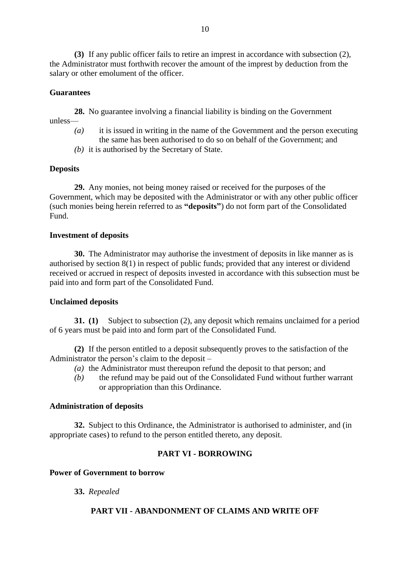**(3)** If any public officer fails to retire an imprest in accordance with subsection (2), the Administrator must forthwith recover the amount of the imprest by deduction from the salary or other emolument of the officer.

# **Guarantees**

**28.** No guarantee involving a financial liability is binding on the Government unless—

- *(a)* it is issued in writing in the name of the Government and the person executing the same has been authorised to do so on behalf of the Government; and
- *(b)* it is authorised by the Secretary of State.

## **Deposits**

**29.** Any monies, not being money raised or received for the purposes of the Government, which may be deposited with the Administrator or with any other public officer (such monies being herein referred to as **"deposits"**) do not form part of the Consolidated Fund.

## **Investment of deposits**

**30.** The Administrator may authorise the investment of deposits in like manner as is authorised by section 8(1) in respect of public funds; provided that any interest or dividend received or accrued in respect of deposits invested in accordance with this subsection must be paid into and form part of the Consolidated Fund.

## **Unclaimed deposits**

**31. (1)** Subject to subsection (2), any deposit which remains unclaimed for a period of 6 years must be paid into and form part of the Consolidated Fund.

**(2)** If the person entitled to a deposit subsequently proves to the satisfaction of the Administrator the person's claim to the deposit –

- *(a)* the Administrator must thereupon refund the deposit to that person; and
- *(b)* the refund may be paid out of the Consolidated Fund without further warrant or appropriation than this Ordinance.

## **Administration of deposits**

**32.** Subject to this Ordinance, the Administrator is authorised to administer, and (in appropriate cases) to refund to the person entitled thereto, any deposit.

# **PART VI - BORROWING**

## **Power of Government to borrow**

**33.** *Repealed*

# **PART VII - ABANDONMENT OF CLAIMS AND WRITE OFF**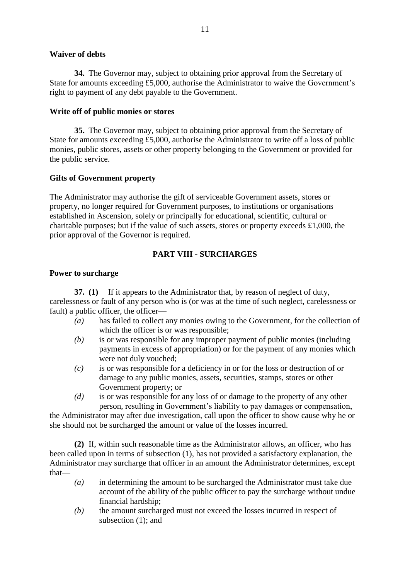# **Waiver of debts**

**34.** The Governor may, subject to obtaining prior approval from the Secretary of State for amounts exceeding £5,000, authorise the Administrator to waive the Government's right to payment of any debt payable to the Government.

# **Write off of public monies or stores**

**35.** The Governor may, subject to obtaining prior approval from the Secretary of State for amounts exceeding £5,000, authorise the Administrator to write off a loss of public monies, public stores, assets or other property belonging to the Government or provided for the public service.

# **Gifts of Government property**

The Administrator may authorise the gift of serviceable Government assets, stores or property, no longer required for Government purposes, to institutions or organisations established in Ascension, solely or principally for educational, scientific, cultural or charitable purposes; but if the value of such assets, stores or property exceeds £1,000, the prior approval of the Governor is required.

# **PART VIII - SURCHARGES**

# **Power to surcharge**

**37. (1)** If it appears to the Administrator that, by reason of neglect of duty, carelessness or fault of any person who is (or was at the time of such neglect, carelessness or fault) a public officer, the officer—

- *(a)* has failed to collect any monies owing to the Government, for the collection of which the officer is or was responsible;
- *(b)* is or was responsible for any improper payment of public monies (including payments in excess of appropriation) or for the payment of any monies which were not duly vouched;
- *(c)* is or was responsible for a deficiency in or for the loss or destruction of or damage to any public monies, assets, securities, stamps, stores or other Government property; or
- *(d)* is or was responsible for any loss of or damage to the property of any other person, resulting in Government's liability to pay damages or compensation,

the Administrator may after due investigation, call upon the officer to show cause why he or she should not be surcharged the amount or value of the losses incurred.

**(2)** If, within such reasonable time as the Administrator allows, an officer, who has been called upon in terms of subsection (1), has not provided a satisfactory explanation, the Administrator may surcharge that officer in an amount the Administrator determines, except that—

- *(a)* in determining the amount to be surcharged the Administrator must take due account of the ability of the public officer to pay the surcharge without undue financial hardship;
- *(b)* the amount surcharged must not exceed the losses incurred in respect of subsection (1); and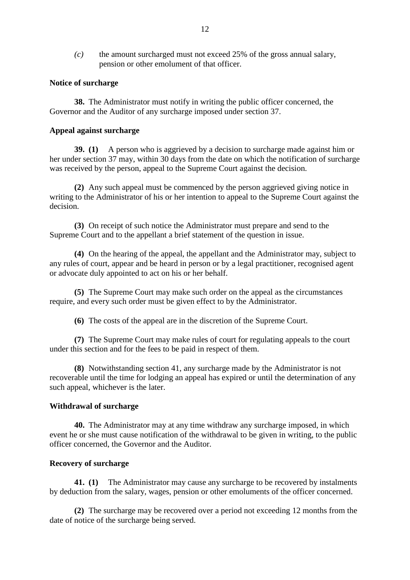*(c)* the amount surcharged must not exceed 25% of the gross annual salary, pension or other emolument of that officer.

#### **Notice of surcharge**

**38.** The Administrator must notify in writing the public officer concerned, the Governor and the Auditor of any surcharge imposed under section 37.

### **Appeal against surcharge**

**39. (1)** A person who is aggrieved by a decision to surcharge made against him or her under section 37 may, within 30 days from the date on which the notification of surcharge was received by the person, appeal to the Supreme Court against the decision.

**(2)** Any such appeal must be commenced by the person aggrieved giving notice in writing to the Administrator of his or her intention to appeal to the Supreme Court against the decision.

**(3)** On receipt of such notice the Administrator must prepare and send to the Supreme Court and to the appellant a brief statement of the question in issue.

**(4)** On the hearing of the appeal, the appellant and the Administrator may, subject to any rules of court, appear and be heard in person or by a legal practitioner, recognised agent or advocate duly appointed to act on his or her behalf.

**(5)** The Supreme Court may make such order on the appeal as the circumstances require, and every such order must be given effect to by the Administrator.

**(6)** The costs of the appeal are in the discretion of the Supreme Court.

**(7)** The Supreme Court may make rules of court for regulating appeals to the court under this section and for the fees to be paid in respect of them.

**(8)** Notwithstanding section 41, any surcharge made by the Administrator is not recoverable until the time for lodging an appeal has expired or until the determination of any such appeal, whichever is the later.

## **Withdrawal of surcharge**

**40.** The Administrator may at any time withdraw any surcharge imposed, in which event he or she must cause notification of the withdrawal to be given in writing, to the public officer concerned, the Governor and the Auditor.

## **Recovery of surcharge**

**41. (1)** The Administrator may cause any surcharge to be recovered by instalments by deduction from the salary, wages, pension or other emoluments of the officer concerned.

**(2)** The surcharge may be recovered over a period not exceeding 12 months from the date of notice of the surcharge being served.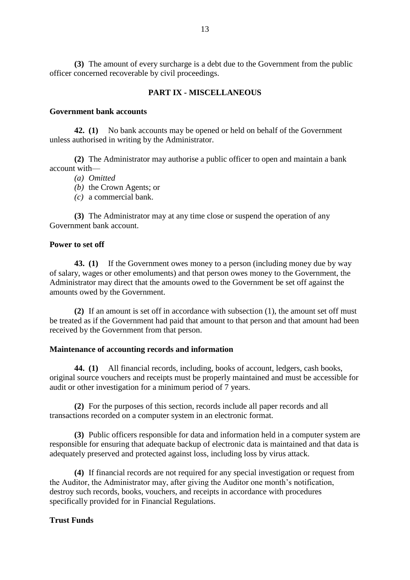**(3)** The amount of every surcharge is a debt due to the Government from the public officer concerned recoverable by civil proceedings.

# **PART IX - MISCELLANEOUS**

### **Government bank accounts**

**42. (1)** No bank accounts may be opened or held on behalf of the Government unless authorised in writing by the Administrator.

**(2)** The Administrator may authorise a public officer to open and maintain a bank account with—

- *(a) Omitted*
- *(b)* the Crown Agents; or
- *(c)* a commercial bank.

**(3)** The Administrator may at any time close or suspend the operation of any Government bank account.

### **Power to set off**

**43. (1)** If the Government owes money to a person (including money due by way of salary, wages or other emoluments) and that person owes money to the Government, the Administrator may direct that the amounts owed to the Government be set off against the amounts owed by the Government.

**(2)** If an amount is set off in accordance with subsection (1), the amount set off must be treated as if the Government had paid that amount to that person and that amount had been received by the Government from that person.

#### **Maintenance of accounting records and information**

**44. (1)** All financial records, including, books of account, ledgers, cash books, original source vouchers and receipts must be properly maintained and must be accessible for audit or other investigation for a minimum period of 7 years.

**(2)** For the purposes of this section, records include all paper records and all transactions recorded on a computer system in an electronic format.

**(3)** Public officers responsible for data and information held in a computer system are responsible for ensuring that adequate backup of electronic data is maintained and that data is adequately preserved and protected against loss, including loss by virus attack.

**(4)** If financial records are not required for any special investigation or request from the Auditor, the Administrator may, after giving the Auditor one month's notification, destroy such records, books, vouchers, and receipts in accordance with procedures specifically provided for in Financial Regulations.

#### **Trust Funds**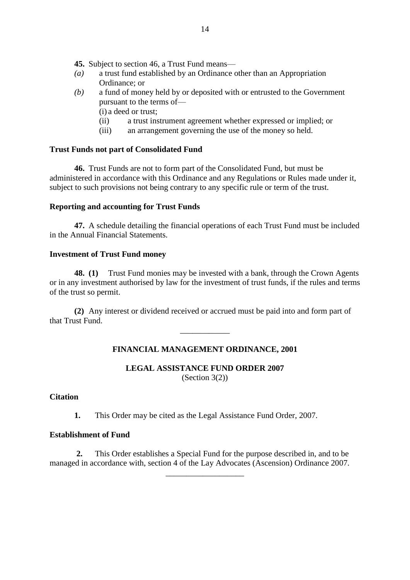**45.** Subject to section 46, a Trust Fund means—

- *(a)* a trust fund established by an Ordinance other than an Appropriation Ordinance; or
- *(b)* a fund of money held by or deposited with or entrusted to the Government pursuant to the terms of—
	- (i) a deed or trust;
	- (ii) a trust instrument agreement whether expressed or implied; or
	- (iii) an arrangement governing the use of the money so held.

# **Trust Funds not part of Consolidated Fund**

**46.** Trust Funds are not to form part of the Consolidated Fund, but must be administered in accordance with this Ordinance and any Regulations or Rules made under it, subject to such provisions not being contrary to any specific rule or term of the trust.

### **Reporting and accounting for Trust Funds**

**47.** A schedule detailing the financial operations of each Trust Fund must be included in the Annual Financial Statements.

### **Investment of Trust Fund money**

**48. (1)** Trust Fund monies may be invested with a bank, through the Crown Agents or in any investment authorised by law for the investment of trust funds, if the rules and terms of the trust so permit.

**(2)** Any interest or dividend received or accrued must be paid into and form part of that Trust Fund.

## **FINANCIAL MANAGEMENT ORDINANCE, 2001**

\_\_\_\_\_\_\_\_\_\_\_\_

## **LEGAL ASSISTANCE FUND ORDER 2007** (Section 3(2))

### **Citation**

**1.** This Order may be cited as the Legal Assistance Fund Order, 2007.

# **Establishment of Fund**

 **2.** This Order establishes a Special Fund for the purpose described in, and to be managed in accordance with, section 4 of the Lay Advocates (Ascension) Ordinance 2007.

\_\_\_\_\_\_\_\_\_\_\_\_\_\_\_\_\_\_\_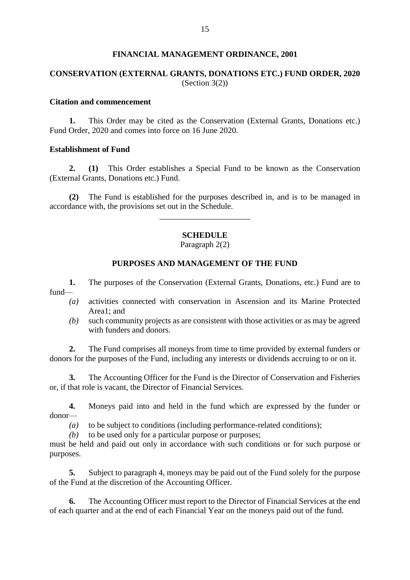### **FINANCIAL MANAGEMENT ORDINANCE, 2001**

# **CONSERVATION (EXTERNAL GRANTS, DONATIONS ETC.) FUND ORDER, 2020** (Section 3(2))

# **Citation and commencement**

**1.** This Order may be cited as the Conservation (External Grants, Donations etc.) Fund Order, 2020 and comes into force on 16 June 2020.

### **Establishment of Fund**

**2. (1)** This Order establishes a Special Fund to be known as the Conservation (External Grants, Donations etc.) Fund.

**(2)** The Fund is established for the purposes described in, and is to be managed in accordance with, the provisions set out in the Schedule.

\_\_\_\_\_\_\_\_\_\_\_\_\_\_\_\_\_\_\_\_\_\_

# **SCHEDULE**

Paragraph 2(2)

### **PURPOSES AND MANAGEMENT OF THE FUND**

**1.** The purposes of the Conservation (External Grants, Donations, etc.) Fund are to fund—

- *(a)* activities connected with conservation in Ascension and its Marine Protected Area1; and
- *(b)* such community projects as are consistent with those activities or as may be agreed with funders and donors.

**2.** The Fund comprises all moneys from time to time provided by external funders or donors for the purposes of the Fund, including any interests or dividends accruing to or on it.

**3.** The Accounting Officer for the Fund is the Director of Conservation and Fisheries or, if that role is vacant, the Director of Financial Services.

**4.** Moneys paid into and held in the fund which are expressed by the funder or donor—

*(a)* to be subject to conditions (including performance-related conditions);

*(b)* to be used only for a particular purpose or purposes;

must be held and paid out only in accordance with such conditions or for such purpose or purposes.

**5.** Subject to paragraph 4, moneys may be paid out of the Fund solely for the purpose of the Fund at the discretion of the Accounting Officer.

**6.** The Accounting Officer must report to the Director of Financial Services at the end of each quarter and at the end of each Financial Year on the moneys paid out of the fund.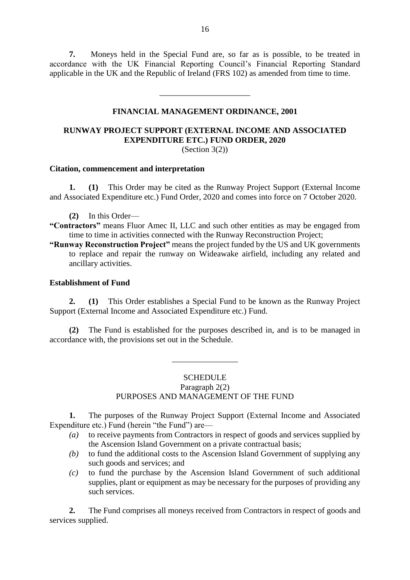**7.** Moneys held in the Special Fund are, so far as is possible, to be treated in accordance with the UK Financial Reporting Council's Financial Reporting Standard applicable in the UK and the Republic of Ireland (FRS 102) as amended from time to time.

### **FINANCIAL MANAGEMENT ORDINANCE, 2001**

\_\_\_\_\_\_\_\_\_\_\_\_\_\_\_\_\_\_\_\_\_\_

# **RUNWAY PROJECT SUPPORT (EXTERNAL INCOME AND ASSOCIATED EXPENDITURE ETC.) FUND ORDER, 2020**

(Section 3(2))

### **Citation, commencement and interpretation**

**1. (1)** This Order may be cited as the Runway Project Support (External Income and Associated Expenditure etc.) Fund Order, 2020 and comes into force on 7 October 2020.

- **(2)** In this Order—
- **"Contractors"** means Fluor Amec II, LLC and such other entities as may be engaged from time to time in activities connected with the Runway Reconstruction Project;
- **"Runway Reconstruction Project"** means the project funded by the US and UK governments to replace and repair the runway on Wideawake airfield, including any related and ancillary activities.

### **Establishment of Fund**

**2. (1)** This Order establishes a Special Fund to be known as the Runway Project Support (External Income and Associated Expenditure etc.) Fund.

**(2)** The Fund is established for the purposes described in, and is to be managed in accordance with, the provisions set out in the Schedule.

#### **SCHEDULE**

\_\_\_\_\_\_\_\_\_\_\_\_\_\_\_\_

# Paragraph 2(2)

# PURPOSES AND MANAGEMENT OF THE FUND

**1.** The purposes of the Runway Project Support (External Income and Associated Expenditure etc.) Fund (herein "the Fund") are—

- *(a)* to receive payments from Contractors in respect of goods and services supplied by the Ascension Island Government on a private contractual basis;
- *(b)* to fund the additional costs to the Ascension Island Government of supplying any such goods and services; and
- *(c)* to fund the purchase by the Ascension Island Government of such additional supplies, plant or equipment as may be necessary for the purposes of providing any such services.

**2.** The Fund comprises all moneys received from Contractors in respect of goods and services supplied.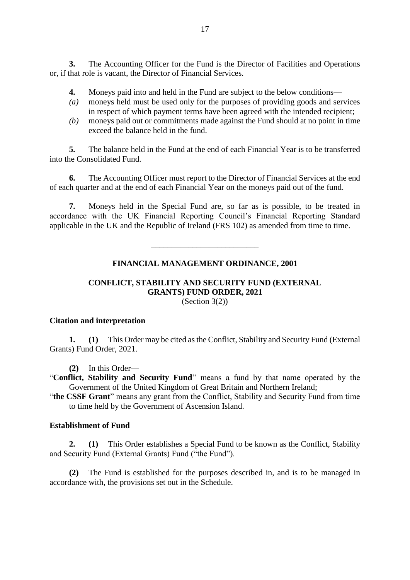**3.** The Accounting Officer for the Fund is the Director of Facilities and Operations or, if that role is vacant, the Director of Financial Services.

- **4.** Moneys paid into and held in the Fund are subject to the below conditions—
- *(a)* moneys held must be used only for the purposes of providing goods and services in respect of which payment terms have been agreed with the intended recipient;
- *(b)* moneys paid out or commitments made against the Fund should at no point in time exceed the balance held in the fund.

**5.** The balance held in the Fund at the end of each Financial Year is to be transferred into the Consolidated Fund.

**6.** The Accounting Officer must report to the Director of Financial Services at the end of each quarter and at the end of each Financial Year on the moneys paid out of the fund.

**7.** Moneys held in the Special Fund are, so far as is possible, to be treated in accordance with the UK Financial Reporting Council's Financial Reporting Standard applicable in the UK and the Republic of Ireland (FRS 102) as amended from time to time.

## **FINANCIAL MANAGEMENT ORDINANCE, 2001**

\_\_\_\_\_\_\_\_\_\_\_\_\_\_\_\_\_\_\_\_\_\_\_\_\_\_

### **CONFLICT, STABILITY AND SECURITY FUND (EXTERNAL GRANTS) FUND ORDER, 2021** (Section 3(2))

## **Citation and interpretation**

**1. (1)** This Order may be cited as the Conflict, Stability and Security Fund (External Grants) Fund Order, 2021.

**(2)** In this Order—

"**Conflict, Stability and Security Fund**" means a fund by that name operated by the Government of the United Kingdom of Great Britain and Northern Ireland;

"**the CSSF Grant**" means any grant from the Conflict, Stability and Security Fund from time to time held by the Government of Ascension Island.

# **Establishment of Fund**

**2. (1)** This Order establishes a Special Fund to be known as the Conflict, Stability and Security Fund (External Grants) Fund ("the Fund").

**(2)** The Fund is established for the purposes described in, and is to be managed in accordance with, the provisions set out in the Schedule.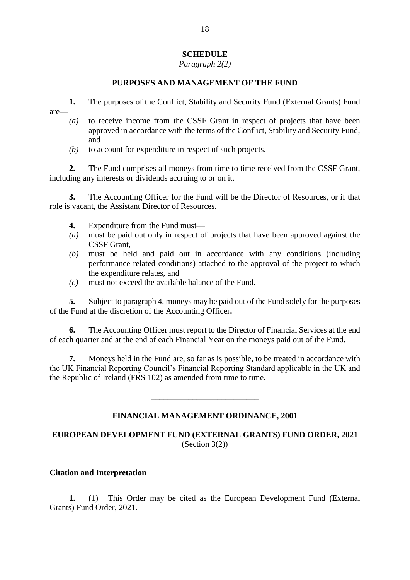# **SCHEDULE**

*Paragraph 2(2)*

# **PURPOSES AND MANAGEMENT OF THE FUND**

**1.** The purposes of the Conflict, Stability and Security Fund (External Grants) Fund are—

- *(a)* to receive income from the CSSF Grant in respect of projects that have been approved in accordance with the terms of the Conflict, Stability and Security Fund, and
- *(b)* to account for expenditure in respect of such projects.

**2.** The Fund comprises all moneys from time to time received from the CSSF Grant, including any interests or dividends accruing to or on it.

**3.** The Accounting Officer for the Fund will be the Director of Resources, or if that role is vacant, the Assistant Director of Resources.

- **4.** Expenditure from the Fund must—
- *(a)* must be paid out only in respect of projects that have been approved against the CSSF Grant,
- *(b)* must be held and paid out in accordance with any conditions (including performance-related conditions) attached to the approval of the project to which the expenditure relates, and
- *(c)* must not exceed the available balance of the Fund.

**5.** Subject to paragraph 4, moneys may be paid out of the Fund solely for the purposes of the Fund at the discretion of the Accounting Officer**.**

**6.** The Accounting Officer must report to the Director of Financial Services at the end of each quarter and at the end of each Financial Year on the moneys paid out of the Fund.

**7.** Moneys held in the Fund are, so far as is possible, to be treated in accordance with the UK Financial Reporting Council's Financial Reporting Standard applicable in the UK and the Republic of Ireland (FRS 102) as amended from time to time.

# **FINANCIAL MANAGEMENT ORDINANCE, 2001**

\_\_\_\_\_\_\_\_\_\_\_\_\_\_\_\_\_\_\_\_\_\_\_\_\_\_

# **EUROPEAN DEVELOPMENT FUND (EXTERNAL GRANTS) FUND ORDER, 2021** (Section 3(2))

## **Citation and Interpretation**

**1.** (1) This Order may be cited as the European Development Fund (External Grants) Fund Order, 2021.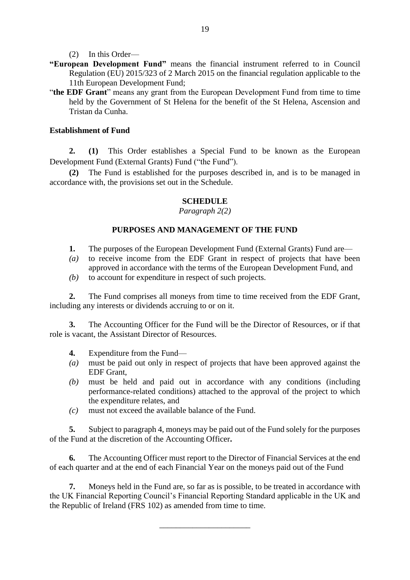(2) In this Order—

- **"European Development Fund"** means the financial instrument referred to in Council Regulation (EU) 2015/323 of 2 March 2015 on the financial regulation applicable to the 11th European Development Fund;
- "**the EDF Grant**" means any grant from the European Development Fund from time to time held by the Government of St Helena for the benefit of the St Helena, Ascension and Tristan da Cunha.

# **Establishment of Fund**

**2. (1)** This Order establishes a Special Fund to be known as the European Development Fund (External Grants) Fund ("the Fund").

**(2)** The Fund is established for the purposes described in, and is to be managed in accordance with, the provisions set out in the Schedule.

# **SCHEDULE**

*Paragraph 2(2)*

# **PURPOSES AND MANAGEMENT OF THE FUND**

- **1.** The purposes of the European Development Fund (External Grants) Fund are—
- *(a)* to receive income from the EDF Grant in respect of projects that have been approved in accordance with the terms of the European Development Fund, and
- *(b)* to account for expenditure in respect of such projects.

**2.** The Fund comprises all moneys from time to time received from the EDF Grant, including any interests or dividends accruing to or on it.

**3.** The Accounting Officer for the Fund will be the Director of Resources, or if that role is vacant, the Assistant Director of Resources.

- **4.** Expenditure from the Fund—
- *(a)* must be paid out only in respect of projects that have been approved against the EDF Grant,
- *(b)* must be held and paid out in accordance with any conditions (including performance-related conditions) attached to the approval of the project to which the expenditure relates, and
- *(c)* must not exceed the available balance of the Fund.

**5.** Subject to paragraph 4, moneys may be paid out of the Fund solely for the purposes of the Fund at the discretion of the Accounting Officer**.**

**6.** The Accounting Officer must report to the Director of Financial Services at the end of each quarter and at the end of each Financial Year on the moneys paid out of the Fund

**7.** Moneys held in the Fund are, so far as is possible, to be treated in accordance with the UK Financial Reporting Council's Financial Reporting Standard applicable in the UK and the Republic of Ireland (FRS 102) as amended from time to time.

\_\_\_\_\_\_\_\_\_\_\_\_\_\_\_\_\_\_\_\_\_\_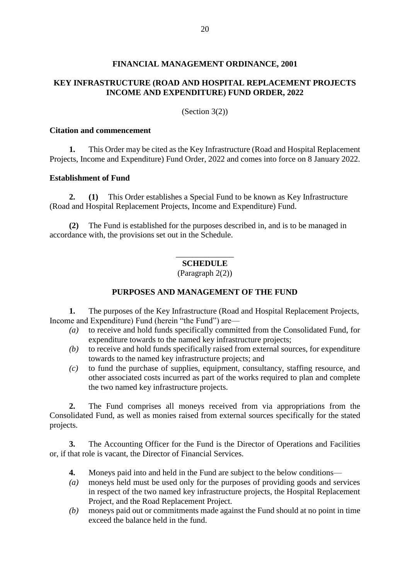### **FINANCIAL MANAGEMENT ORDINANCE, 2001**

# **KEY INFRASTRUCTURE (ROAD AND HOSPITAL REPLACEMENT PROJECTS INCOME AND EXPENDITURE) FUND ORDER, 2022**

(Section 3(2))

#### **Citation and commencement**

**1.** This Order may be cited as the Key Infrastructure (Road and Hospital Replacement Projects, Income and Expenditure) Fund Order, 2022 and comes into force on 8 January 2022.

### **Establishment of Fund**

**2. (1)** This Order establishes a Special Fund to be known as Key Infrastructure (Road and Hospital Replacement Projects, Income and Expenditure) Fund.

**(2)** The Fund is established for the purposes described in, and is to be managed in accordance with, the provisions set out in the Schedule.

# \_\_\_\_\_\_\_\_\_\_\_\_\_\_ **SCHEDULE**

(Paragraph 2(2))

### **PURPOSES AND MANAGEMENT OF THE FUND**

**1.** The purposes of the Key Infrastructure (Road and Hospital Replacement Projects, Income and Expenditure) Fund (herein "the Fund") are—

- *(a)* to receive and hold funds specifically committed from the Consolidated Fund, for expenditure towards to the named key infrastructure projects;
- *(b)* to receive and hold funds specifically raised from external sources, for expenditure towards to the named key infrastructure projects; and
- *(c)* to fund the purchase of supplies, equipment, consultancy, staffing resource, and other associated costs incurred as part of the works required to plan and complete the two named key infrastructure projects.

**2.** The Fund comprises all moneys received from via appropriations from the Consolidated Fund, as well as monies raised from external sources specifically for the stated projects.

**3.** The Accounting Officer for the Fund is the Director of Operations and Facilities or, if that role is vacant, the Director of Financial Services.

- **4.** Moneys paid into and held in the Fund are subject to the below conditions—
- *(a)* moneys held must be used only for the purposes of providing goods and services in respect of the two named key infrastructure projects, the Hospital Replacement Project, and the Road Replacement Project.
- *(b)* moneys paid out or commitments made against the Fund should at no point in time exceed the balance held in the fund.